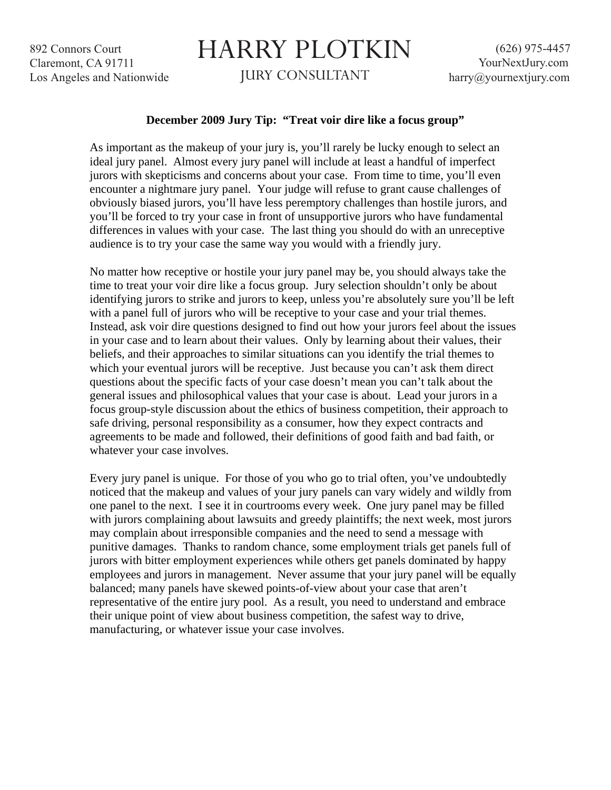892 Connors Court Claremont, CA 91711 Los Angeles and Nationwide

## HARRY PLOTKIN

JURY CONSULTANT

## **December 2009 Jury Tip: "Treat voir dire like a focus group"**

As important as the makeup of your jury is, you'll rarely be lucky enough to select an ideal jury panel. Almost every jury panel will include at least a handful of imperfect jurors with skepticisms and concerns about your case. From time to time, you'll even encounter a nightmare jury panel. Your judge will refuse to grant cause challenges of obviously biased jurors, you'll have less peremptory challenges than hostile jurors, and you'll be forced to try your case in front of unsupportive jurors who have fundamental differences in values with your case. The last thing you should do with an unreceptive audience is to try your case the same way you would with a friendly jury.

No matter how receptive or hostile your jury panel may be, you should always take the time to treat your voir dire like a focus group. Jury selection shouldn't only be about identifying jurors to strike and jurors to keep, unless you're absolutely sure you'll be left with a panel full of jurors who will be receptive to your case and your trial themes. Instead, ask voir dire questions designed to find out how your jurors feel about the issues in your case and to learn about their values. Only by learning about their values, their beliefs, and their approaches to similar situations can you identify the trial themes to which your eventual jurors will be receptive. Just because you can't ask them direct questions about the specific facts of your case doesn't mean you can't talk about the general issues and philosophical values that your case is about. Lead your jurors in a focus group-style discussion about the ethics of business competition, their approach to safe driving, personal responsibility as a consumer, how they expect contracts and agreements to be made and followed, their definitions of good faith and bad faith, or whatever your case involves.

Every jury panel is unique. For those of you who go to trial often, you've undoubtedly noticed that the makeup and values of your jury panels can vary widely and wildly from one panel to the next. I see it in courtrooms every week. One jury panel may be filled with jurors complaining about lawsuits and greedy plaintiffs; the next week, most jurors may complain about irresponsible companies and the need to send a message with punitive damages. Thanks to random chance, some employment trials get panels full of jurors with bitter employment experiences while others get panels dominated by happy employees and jurors in management. Never assume that your jury panel will be equally balanced; many panels have skewed points-of-view about your case that aren't representative of the entire jury pool. As a result, you need to understand and embrace their unique point of view about business competition, the safest way to drive, manufacturing, or whatever issue your case involves.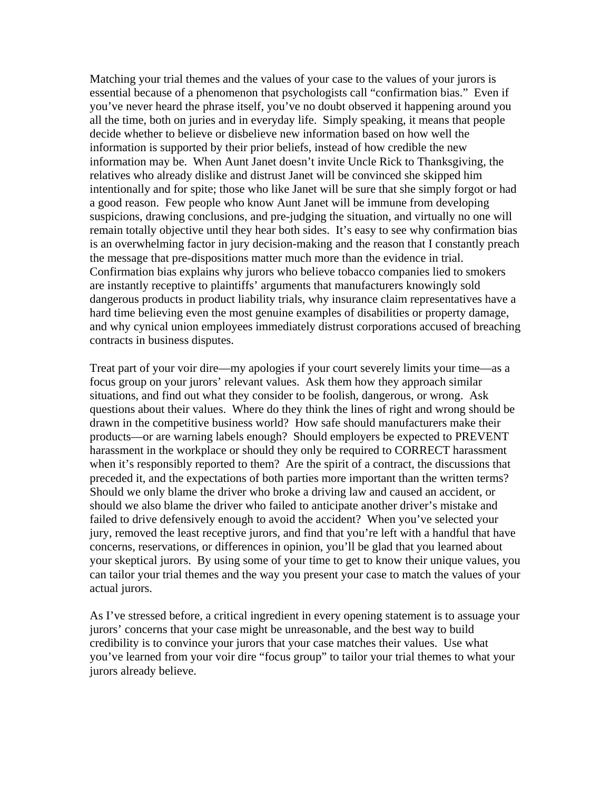Matching your trial themes and the values of your case to the values of your jurors is essential because of a phenomenon that psychologists call "confirmation bias." Even if you've never heard the phrase itself, you've no doubt observed it happening around you all the time, both on juries and in everyday life. Simply speaking, it means that people decide whether to believe or disbelieve new information based on how well the information is supported by their prior beliefs, instead of how credible the new information may be. When Aunt Janet doesn't invite Uncle Rick to Thanksgiving, the relatives who already dislike and distrust Janet will be convinced she skipped him intentionally and for spite; those who like Janet will be sure that she simply forgot or had a good reason. Few people who know Aunt Janet will be immune from developing suspicions, drawing conclusions, and pre-judging the situation, and virtually no one will remain totally objective until they hear both sides. It's easy to see why confirmation bias is an overwhelming factor in jury decision-making and the reason that I constantly preach the message that pre-dispositions matter much more than the evidence in trial. Confirmation bias explains why jurors who believe tobacco companies lied to smokers are instantly receptive to plaintiffs' arguments that manufacturers knowingly sold dangerous products in product liability trials, why insurance claim representatives have a hard time believing even the most genuine examples of disabilities or property damage, and why cynical union employees immediately distrust corporations accused of breaching contracts in business disputes.

Treat part of your voir dire—my apologies if your court severely limits your time—as a focus group on your jurors' relevant values. Ask them how they approach similar situations, and find out what they consider to be foolish, dangerous, or wrong. Ask questions about their values. Where do they think the lines of right and wrong should be drawn in the competitive business world? How safe should manufacturers make their products—or are warning labels enough? Should employers be expected to PREVENT harassment in the workplace or should they only be required to CORRECT harassment when it's responsibly reported to them? Are the spirit of a contract, the discussions that preceded it, and the expectations of both parties more important than the written terms? Should we only blame the driver who broke a driving law and caused an accident, or should we also blame the driver who failed to anticipate another driver's mistake and failed to drive defensively enough to avoid the accident? When you've selected your jury, removed the least receptive jurors, and find that you're left with a handful that have concerns, reservations, or differences in opinion, you'll be glad that you learned about your skeptical jurors. By using some of your time to get to know their unique values, you can tailor your trial themes and the way you present your case to match the values of your actual jurors.

As I've stressed before, a critical ingredient in every opening statement is to assuage your jurors' concerns that your case might be unreasonable, and the best way to build credibility is to convince your jurors that your case matches their values. Use what you've learned from your voir dire "focus group" to tailor your trial themes to what your jurors already believe.